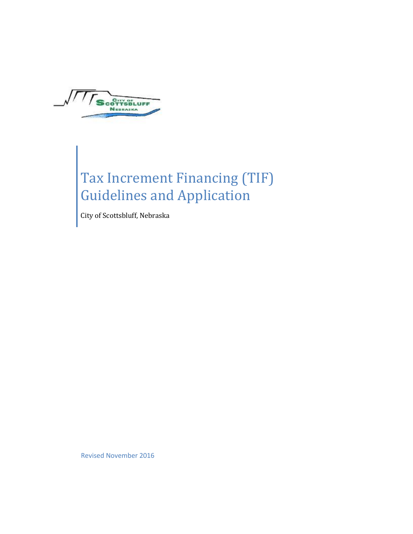

Tax Increment Financing (TIF) Guidelines and Application

City of Scottsbluff, Nebraska

Revised November 2016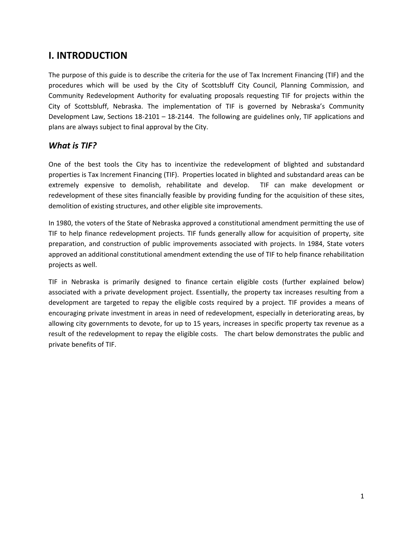### **I. INTRODUCTION**

The purpose of this guide is to describe the criteria for the use of Tax Increment Financing (TIF) and the procedures which will be used by the City of Scottsbluff City Council, Planning Commission, and Community Redevelopment Authority for evaluating proposals requesting TIF for projects within the City of Scottsbluff, Nebraska. The implementation of TIF is governed by Nebraska's Community Development Law, Sections 18-2101 – 18-2144. The following are guidelines only, TIF applications and plans are always subject to final approval by the City.

#### *What is TIF?*

One of the best tools the City has to incentivize the redevelopment of blighted and substandard properties is Tax Increment Financing (TIF). Properties located in blighted and substandard areas can be extremely expensive to demolish, rehabilitate and develop. TIF can make development or redevelopment of these sites financially feasible by providing funding for the acquisition of these sites, demolition of existing structures, and other eligible site improvements.

In 1980, the voters of the State of Nebraska approved a constitutional amendment permitting the use of TIF to help finance redevelopment projects. TIF funds generally allow for acquisition of property, site preparation, and construction of public improvements associated with projects. In 1984, State voters approved an additional constitutional amendment extending the use of TIF to help finance rehabilitation projects as well.

TIF in Nebraska is primarily designed to finance certain eligible costs (further explained below) associated with a private development project. Essentially, the property tax increases resulting from a development are targeted to repay the eligible costs required by a project. TIF provides a means of encouraging private investment in areas in need of redevelopment, especially in deteriorating areas, by allowing city governments to devote, for up to 15 years, increases in specific property tax revenue as a result of the redevelopment to repay the eligible costs. The chart below demonstrates the public and private benefits of TIF.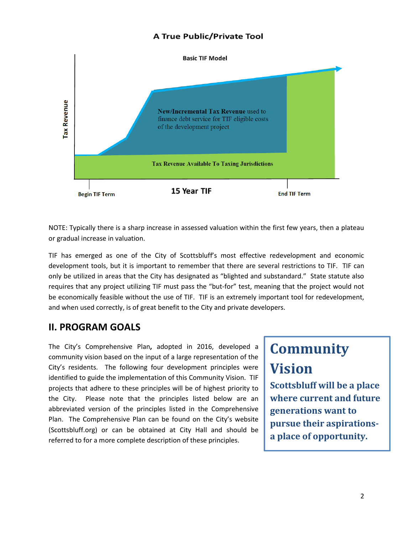#### **A True Public/Private Tool**



NOTE: Typically there is a sharp increase in assessed valuation within the first few years, then a plateau or gradual increase in valuation.

TIF has emerged as one of the City of Scottsbluff's most effective redevelopment and economic development tools, but it is important to remember that there are several restrictions to TIF. TIF can only be utilized in areas that the City has designated as "blighted and substandard." State statute also requires that any project utilizing TIF must pass the "but-for" test, meaning that the project would not be economically feasible without the use of TIF. TIF is an extremely important tool for redevelopment, and when used correctly, is of great benefit to the City and private developers.

### **II. PROGRAM GOALS**

The City's Comprehensive Plan**,** adopted in 2016, developed a community vision based on the input of a large representation of the City's residents. The following four development principles were identified to guide the implementation of this Community Vision. TIF projects that adhere to these principles will be of highest priority to the City. Please note that the principles listed below are an abbreviated version of the principles listed in the Comprehensive Plan. The Comprehensive Plan can be found on the City's website (Scottsbluff.org) or can be obtained at City Hall and should be referred to for a more complete description of these principles.

# **Community Vision**

**Scottsbluff will be a place where current and future generations want to pursue their aspirationsa place of opportunity.**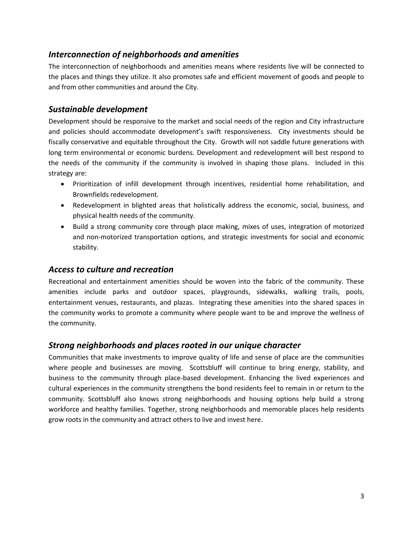#### *Interconnection of neighborhoods and amenities*

The interconnection of neighborhoods and amenities means where residents live will be connected to the places and things they utilize. It also promotes safe and efficient movement of goods and people to and from other communities and around the City.

#### *Sustainable development*

Development should be responsive to the market and social needs of the region and City infrastructure and policies should accommodate development's swift responsiveness. City investments should be fiscally conservative and equitable throughout the City. Growth will not saddle future generations with long term environmental or economic burdens. Development and redevelopment will best respond to the needs of the community if the community is involved in shaping those plans. Included in this strategy are:

- Prioritization of infill development through incentives, residential home rehabilitation, and Brownfields redevelopment.
- Redevelopment in blighted areas that holistically address the economic, social, business, and physical health needs of the community.
- Build a strong community core through place making, mixes of uses, integration of motorized and non-motorized transportation options, and strategic investments for social and economic stability.

#### *Access to culture and recreation*

Recreational and entertainment amenities should be woven into the fabric of the community. These amenities include parks and outdoor spaces, playgrounds, sidewalks, walking trails, pools, entertainment venues, restaurants, and plazas. Integrating these amenities into the shared spaces in the community works to promote a community where people want to be and improve the wellness of the community.

#### *Strong neighborhoods and places rooted in our unique character*

Communities that make investments to improve quality of life and sense of place are the communities where people and businesses are moving. Scottsbluff will continue to bring energy, stability, and business to the community through place-based development. Enhancing the lived experiences and cultural experiences in the community strengthens the bond residents feel to remain in or return to the community. Scottsbluff also knows strong neighborhoods and housing options help build a strong workforce and healthy families. Together, strong neighborhoods and memorable places help residents grow roots in the community and attract others to live and invest here.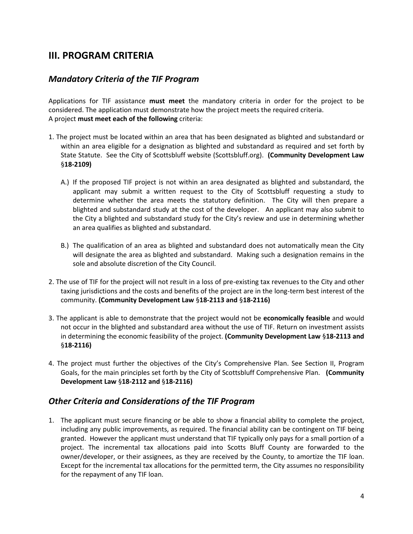### **III. PROGRAM CRITERIA**

#### *Mandatory Criteria of the TIF Program*

Applications for TIF assistance **must meet** the mandatory criteria in order for the project to be considered. The application must demonstrate how the project meets the required criteria. A project **must meet each of the following** criteria:

- 1. The project must be located within an area that has been designated as blighted and substandard or within an area eligible for a designation as blighted and substandard as required and set forth by State Statute. See the City of Scottsbluff website (Scottsbluff.org). **(Community Development Law**  §**18-2109)** 
	- A.) If the proposed TIF project is not within an area designated as blighted and substandard, the applicant may submit a written request to the City of Scottsbluff requesting a study to determine whether the area meets the statutory definition. The City will then prepare a blighted and substandard study at the cost of the developer. An applicant may also submit to the City a blighted and substandard study for the City's review and use in determining whether an area qualifies as blighted and substandard.
	- B.) The qualification of an area as blighted and substandard does not automatically mean the City will designate the area as blighted and substandard. Making such a designation remains in the sole and absolute discretion of the City Council.
- 2. The use of TIF for the project will not result in a loss of pre-existing tax revenues to the City and other taxing jurisdictions and the costs and benefits of the project are in the long-term best interest of the community. **(Community Development Law** §**18-2113 and** §**18-2116)**
- 3. The applicant is able to demonstrate that the project would not be **economically feasible** and would not occur in the blighted and substandard area without the use of TIF. Return on investment assists in determining the economic feasibility of the project. **(Community Development Law** §**18-2113 and**  §**18-2116)**
- 4. The project must further the objectives of the City's Comprehensive Plan. See Section II, Program Goals, for the main principles set forth by the City of Scottsbluff Comprehensive Plan. **(Community Development Law** §**18-2112 and** §**18-2116)**

#### *Other Criteria and Considerations of the TIF Program*

1. The applicant must secure financing or be able to show a financial ability to complete the project, including any public improvements, as required. The financial ability can be contingent on TIF being granted. However the applicant must understand that TIF typically only pays for a small portion of a project. The incremental tax allocations paid into Scotts Bluff County are forwarded to the owner/developer, or their assignees, as they are received by the County, to amortize the TIF loan. Except for the incremental tax allocations for the permitted term, the City assumes no responsibility for the repayment of any TIF loan.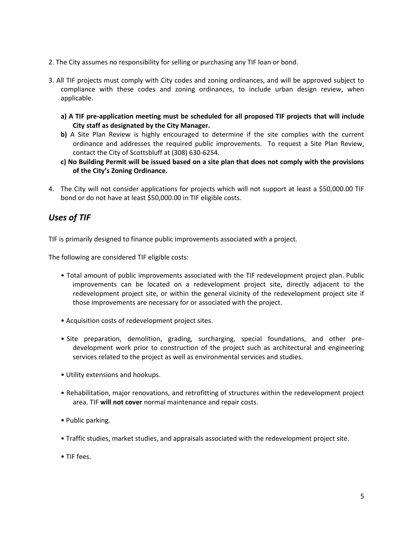- 2. The City assumes no responsibility for selling or purchasing any TIF loan or bond.
- 3. All TIF projects must comply with City codes and zoning ordinances, and will be approved subject to compliance with these codes and zoning ordinances, to include urban design review, when applicable.
	- **a) A TIF pre-application meeting must be scheduled for all proposed TIF projects that will include City staff as designated by the City Manager.**
	- **b)** A Site Plan Review is highly encouraged to determine if the site complies with the current ordinance and addresses the required public improvements. To request a Site Plan Review, contact the City of Scottsbluff at (308) 630-6254.
	- **c) No Building Permit will be issued based on a site plan that does not comply with the provisions of the City's Zoning Ordinance.**
- 4. The City will not consider applications for projects which will not support at least a \$50,000.00 TIF bond or do not have at least \$50,000.00 in TIF eligible costs.

### *Uses of TIF*

TIF is primarily designed to finance public improvements associated with a project.

The following are considered TIF eligible costs:

- Total amount of public improvements associated with the TIF redevelopment project plan. Public improvements can be located on a redevelopment project site, directly adjacent to the redevelopment project site, or within the general vicinity of the redevelopment project site if those improvements are necessary for or associated with the project.
- Acquisition costs of redevelopment project sites.
- Site preparation, demolition, grading, surcharging, special foundations, and other predevelopment work prior to construction of the project such as architectural and engineering services related to the project as well as environmental services and studies.
- Utility extensions and hookups.
- Rehabilitation, major renovations, and retrofitting of structures within the redevelopment project area. TIF **will not cover** normal maintenance and repair costs.
- Public parking.
- Traffic studies, market studies, and appraisals associated with the redevelopment project site.
- TIF fees.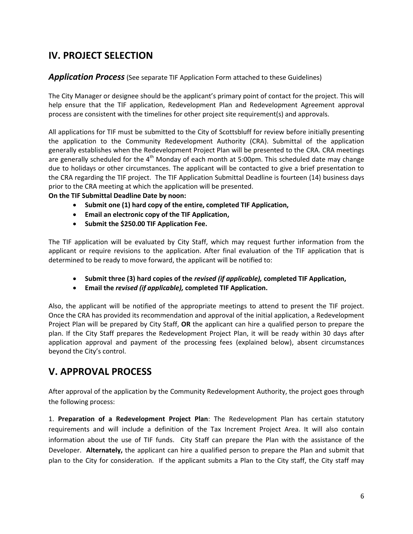### **IV. PROJECT SELECTION**

#### *Application Process*(See separate TIF Application Form attached to these Guidelines)

The City Manager or designee should be the applicant's primary point of contact for the project. This will help ensure that the TIF application, Redevelopment Plan and Redevelopment Agreement approval process are consistent with the timelines for other project site requirement(s) and approvals.

All applications for TIF must be submitted to the City of Scottsbluff for review before initially presenting the application to the Community Redevelopment Authority (CRA). Submittal of the application generally establishes when the Redevelopment Project Plan will be presented to the CRA. CRA meetings are generally scheduled for the 4<sup>th</sup> Monday of each month at 5:00pm. This scheduled date may change due to holidays or other circumstances. The applicant will be contacted to give a brief presentation to the CRA regarding the TIF project. The TIF Application Submittal Deadline is fourteen (14) business days prior to the CRA meeting at which the application will be presented.

**On the TIF Submittal Deadline Date by noon:** 

- **Submit one (1) hard copy of the entire, completed TIF Application,**
- **Email an electronic copy of the TIF Application,**
- **•** Submit the \$250.00 TIF Application Fee.

The TIF application will be evaluated by City Staff, which may request further information from the applicant or require revisions to the application. After final evaluation of the TIF application that is determined to be ready to move forward, the applicant will be notified to:

- **Submit three (3) hard copies of the** *revised (if applicable),* **completed TIF Application,**
- **Email the** *revised (if applicable),* **completed TIF Application.**

Also, the applicant will be notified of the appropriate meetings to attend to present the TIF project. Once the CRA has provided its recommendation and approval of the initial application, a Redevelopment Project Plan will be prepared by City Staff, **OR** the applicant can hire a qualified person to prepare the plan. If the City Staff prepares the Redevelopment Project Plan, it will be ready within 30 days after application approval and payment of the processing fees (explained below), absent circumstances beyond the City's control.

### **V. APPROVAL PROCESS**

After approval of the application by the Community Redevelopment Authority, the project goes through the following process:

1. **Preparation of a Redevelopment Project Plan**: The Redevelopment Plan has certain statutory requirements and will include a definition of the Tax Increment Project Area. It will also contain information about the use of TIF funds. City Staff can prepare the Plan with the assistance of the Developer. **Alternately,** the applicant can hire a qualified person to prepare the Plan and submit that plan to the City for consideration. If the applicant submits a Plan to the City staff, the City staff may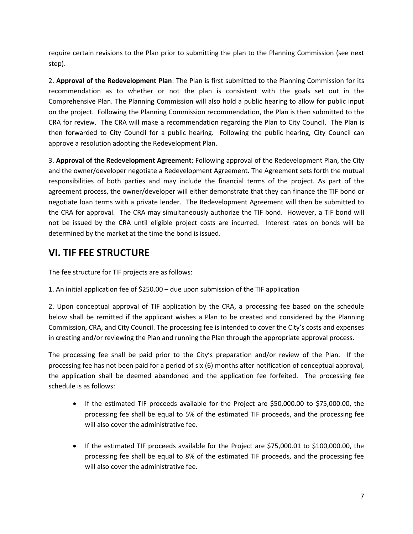require certain revisions to the Plan prior to submitting the plan to the Planning Commission (see next step).

2. **Approval of the Redevelopment Plan**: The Plan is first submitted to the Planning Commission for its recommendation as to whether or not the plan is consistent with the goals set out in the Comprehensive Plan. The Planning Commission will also hold a public hearing to allow for public input on the project. Following the Planning Commission recommendation, the Plan is then submitted to the CRA for review. The CRA will make a recommendation regarding the Plan to City Council. The Plan is then forwarded to City Council for a public hearing. Following the public hearing, City Council can approve a resolution adopting the Redevelopment Plan.

3. **Approval of the Redevelopment Agreement**: Following approval of the Redevelopment Plan, the City and the owner/developer negotiate a Redevelopment Agreement. The Agreement sets forth the mutual responsibilities of both parties and may include the financial terms of the project. As part of the agreement process, the owner/developer will either demonstrate that they can finance the TIF bond or negotiate loan terms with a private lender. The Redevelopment Agreement will then be submitted to the CRA for approval. The CRA may simultaneously authorize the TIF bond. However, a TIF bond will not be issued by the CRA until eligible project costs are incurred. Interest rates on bonds will be determined by the market at the time the bond is issued.

### **VI. TIF FEE STRUCTURE**

The fee structure for TIF projects are as follows:

1. An initial application fee of \$250.00 – due upon submission of the TIF application

2. Upon conceptual approval of TIF application by the CRA, a processing fee based on the schedule below shall be remitted if the applicant wishes a Plan to be created and considered by the Planning Commission, CRA, and City Council. The processing fee is intended to cover the City's costs and expenses in creating and/or reviewing the Plan and running the Plan through the appropriate approval process.

The processing fee shall be paid prior to the City's preparation and/or review of the Plan. If the processing fee has not been paid for a period of six (6) months after notification of conceptual approval, the application shall be deemed abandoned and the application fee forfeited. The processing fee schedule is as follows:

- If the estimated TIF proceeds available for the Project are \$50,000.00 to \$75,000.00, the processing fee shall be equal to 5% of the estimated TIF proceeds, and the processing fee will also cover the administrative fee.
- If the estimated TIF proceeds available for the Project are \$75,000.01 to \$100,000.00, the processing fee shall be equal to 8% of the estimated TIF proceeds, and the processing fee will also cover the administrative fee.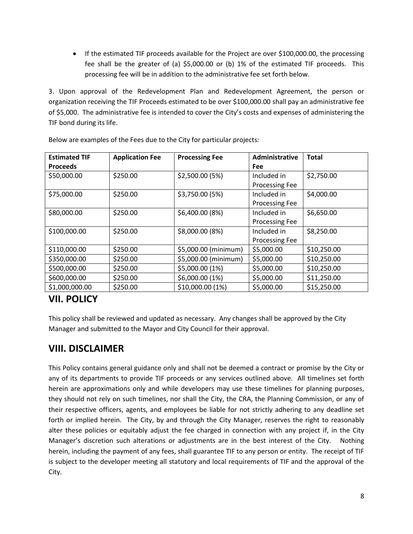• If the estimated TIF proceeds available for the Project are over \$100,000.00, the processing fee shall be the greater of (a) \$5,000.00 or (b) 1% of the estimated TIF proceeds. This processing fee will be in addition to the administrative fee set forth below.

3. Upon approval of the Redevelopment Plan and Redevelopment Agreement, the person or organization receiving the TIF Proceeds estimated to be over \$100,000.00 shall pay an administrative fee of \$5,000. The administrative fee is intended to cover the City's costs and expenses of administering the TIF bond during its life.

| <b>Estimated TIF</b> | <b>Application Fee</b> | <b>Processing Fee</b> | Administrative        | <b>Total</b> |
|----------------------|------------------------|-----------------------|-----------------------|--------------|
| <b>Proceeds</b>      |                        |                       | <b>Fee</b>            |              |
| \$50,000.00          | \$250.00               | \$2,500.00 (5%)       | Included in           | \$2,750.00   |
|                      |                        |                       | <b>Processing Fee</b> |              |
| \$75,000.00          | \$250.00               | \$3,750.00 (5%)       | Included in           | \$4,000.00   |
|                      |                        |                       | <b>Processing Fee</b> |              |
| \$80,000.00          | \$250.00               | \$6,400.00 (8%)       | Included in           | \$6,650.00   |
|                      |                        |                       | <b>Processing Fee</b> |              |
| \$100,000.00         | \$250.00               | \$8,000.00 (8%)       | Included in           | \$8,250.00   |
|                      |                        |                       | <b>Processing Fee</b> |              |
| \$110,000.00         | \$250.00               | \$5,000.00 (minimum)  | \$5,000.00            | \$10,250.00  |
| \$350,000.00         | \$250.00               | \$5,000.00 (minimum)  | \$5,000.00            | \$10,250.00  |
| \$500,000.00         | \$250.00               | \$5,000.00 (1%)       | \$5,000.00            | \$10,250.00  |
| \$600,000.00         | \$250.00               | \$6,000.00 (1%)       | \$5,000.00            | \$11,250.00  |
| \$1,000,000.00       | \$250.00               | \$10,000.00 (1%)      | \$5,000.00            | \$15,250.00  |

Below are examples of the Fees due to the City for particular projects:

## **VII. POLICY**

This policy shall be reviewed and updated as necessary. Any changes shall be approved by the City Manager and submitted to the Mayor and City Council for their approval.

### **VIII. DISCLAIMER**

This Policy contains general guidance only and shall not be deemed a contract or promise by the City or any of its departments to provide TIF proceeds or any services outlined above. All timelines set forth herein are approximations only and while developers may use these timelines for planning purposes, they should not rely on such timelines, nor shall the City, the CRA, the Planning Commission, or any of their respective officers, agents, and employees be liable for not strictly adhering to any deadline set forth or implied herein. The City, by and through the City Manager, reserves the right to reasonably alter these policies or equitably adjust the fee charged in connection with any project if, in the City Manager's discretion such alterations or adjustments are in the best interest of the City. Nothing herein, including the payment of any fees, shall guarantee TIF to any person or entity. The receipt of TIF is subject to the developer meeting all statutory and local requirements of TIF and the approval of the City.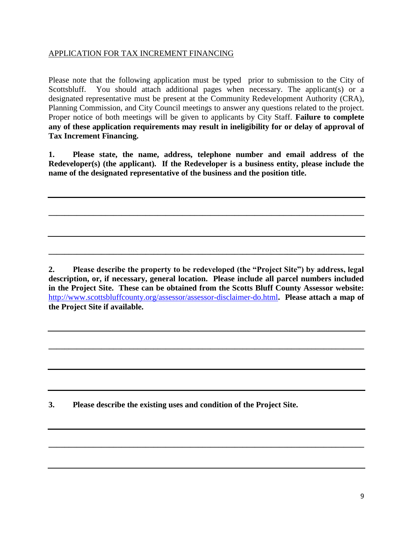#### APPLICATION FOR TAX INCREMENT FINANCING

Please note that the following application must be typed prior to submission to the City of Scottsbluff. You should attach additional pages when necessary. The applicant (s) or a designated representative must be present at the Community Redevelopment Authority (CRA), Planning Commission, and City Council meetings to answer any questions related to the project. Proper notice of both meetings will be given to applicants by City Staff. **Failure to complete any of these application requirements may result in ineligibility for or delay of approval of Tax Increment Financing.**

**1. Please state, the name, address, telephone number and email address of the Redeveloper(s) (the applicant). If the Redeveloper is a business entity, please include the name of the designated representative of the business and the position title.** 

**\_\_\_\_\_\_\_\_\_\_\_\_\_\_\_\_\_\_\_\_\_\_\_\_\_\_\_\_\_\_\_\_\_\_\_\_\_\_\_\_\_\_\_\_\_\_\_\_\_\_\_\_\_\_\_\_\_\_\_\_\_\_\_\_\_\_\_\_\_\_\_\_\_\_\_\_\_\_**

**\_\_\_\_\_\_\_\_\_\_\_\_\_\_\_\_\_\_\_\_\_\_\_\_\_\_\_\_\_\_\_\_\_\_\_\_\_\_\_\_\_\_\_\_\_\_\_\_\_\_\_\_\_\_\_\_\_\_\_\_\_\_\_\_\_\_\_\_\_\_\_\_\_\_\_\_\_\_**

**2. Please describe the property to be redeveloped (the "Project Site") by address, legal description, or, if necessary, general location. Please include all parcel numbers included in the Project Site. These can be obtained from the Scotts Bluff County Assessor website:**  <http://www.scottsbluffcounty.org/assessor/assessor-disclaimer-do.html>**. Please attach a map of the Project Site if available.**

**\_\_\_\_\_\_\_\_\_\_\_\_\_\_\_\_\_\_\_\_\_\_\_\_\_\_\_\_\_\_\_\_\_\_\_\_\_\_\_\_\_\_\_\_\_\_\_\_\_\_\_\_\_\_\_\_\_\_\_\_\_\_\_\_\_\_\_\_\_\_\_\_\_\_\_\_\_\_**

**\_\_\_\_\_\_\_\_\_\_\_\_\_\_\_\_\_\_\_\_\_\_\_\_\_\_\_\_\_\_\_\_\_\_\_\_\_\_\_\_\_\_\_\_\_\_\_\_\_\_\_\_\_\_\_\_\_\_\_\_\_\_\_\_\_\_\_\_\_\_\_\_\_\_\_\_\_\_**

**3. Please describe the existing uses and condition of the Project Site.**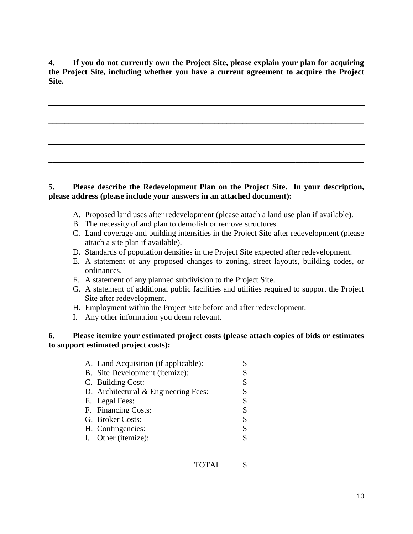**4. If you do not currently own the Project Site, please explain your plan for acquiring the Project Site, including whether you have a current agreement to acquire the Project Site.**

**\_\_\_\_\_\_\_\_\_\_\_\_\_\_\_\_\_\_\_\_\_\_\_\_\_\_\_\_\_\_\_\_\_\_\_\_\_\_\_\_\_\_\_\_\_\_\_\_\_\_\_\_\_\_\_\_\_\_\_\_\_\_\_\_\_\_\_\_\_\_\_\_\_\_\_\_\_\_**

#### **5. Please describe the Redevelopment Plan on the Project Site. In your description, please address (please include your answers in an attached document):**

**\_\_\_\_\_\_\_\_\_\_\_\_\_\_\_\_\_\_\_\_\_\_\_\_\_\_\_\_\_\_\_\_\_\_\_\_\_\_\_\_\_\_\_\_\_\_\_\_\_\_\_\_\_\_\_\_\_\_\_\_\_\_\_\_\_\_\_\_\_\_\_\_\_\_\_\_\_\_**

- A. Proposed land uses after redevelopment (please attach a land use plan if available).
- B. The necessity of and plan to demolish or remove structures.
- C. Land coverage and building intensities in the Project Site after redevelopment (please attach a site plan if available).
- D. Standards of population densities in the Project Site expected after redevelopment.
- E. A statement of any proposed changes to zoning, street layouts, building codes, or ordinances.
- F. A statement of any planned subdivision to the Project Site.
- G. A statement of additional public facilities and utilities required to support the Project Site after redevelopment.
- H. Employment within the Project Site before and after redevelopment.
- I. Any other information you deem relevant.

#### **6. Please itemize your estimated project costs (please attach copies of bids or estimates to support estimated project costs):**

| A. Land Acquisition (if applicable): |    |
|--------------------------------------|----|
| B. Site Development (itemize):       | \$ |
| C. Building Cost:                    | \$ |
| D. Architectural & Engineering Fees: | \$ |
| E. Legal Fees:                       | \$ |
| F. Financing Costs:                  | \$ |
| G. Broker Costs:                     |    |
| H. Contingencies:                    | \$ |
| I. Other (itemize):                  |    |
|                                      |    |

TOTAL \$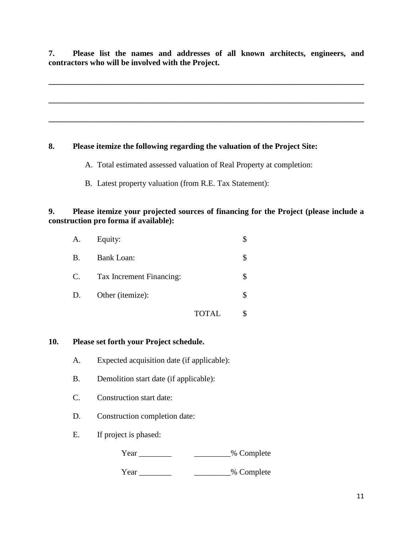**7. Please list the names and addresses of all known architects, engineers, and contractors who will be involved with the Project.**

**\_\_\_\_\_\_\_\_\_\_\_\_\_\_\_\_\_\_\_\_\_\_\_\_\_\_\_\_\_\_\_\_\_\_\_\_\_\_\_\_\_\_\_\_\_\_\_\_\_\_\_\_\_\_\_\_\_\_\_\_\_\_\_\_\_\_\_\_\_\_\_\_\_\_\_\_\_\_**

**\_\_\_\_\_\_\_\_\_\_\_\_\_\_\_\_\_\_\_\_\_\_\_\_\_\_\_\_\_\_\_\_\_\_\_\_\_\_\_\_\_\_\_\_\_\_\_\_\_\_\_\_\_\_\_\_\_\_\_\_\_\_\_\_\_\_\_\_\_\_\_\_\_\_\_\_\_\_**

**\_\_\_\_\_\_\_\_\_\_\_\_\_\_\_\_\_\_\_\_\_\_\_\_\_\_\_\_\_\_\_\_\_\_\_\_\_\_\_\_\_\_\_\_\_\_\_\_\_\_\_\_\_\_\_\_\_\_\_\_\_\_\_\_\_\_\_\_\_\_\_\_\_\_\_\_\_\_**

#### **8. Please itemize the following regarding the valuation of the Project Site:**

- A. Total estimated assessed valuation of Real Property at completion:
- B. Latest property valuation (from R.E. Tax Statement):

#### **9. Please itemize your projected sources of financing for the Project (please include a construction pro forma if available):**

| A.          | Equity:                  |       |  |
|-------------|--------------------------|-------|--|
| <b>B.</b>   | <b>Bank Loan:</b>        |       |  |
| $C_{\cdot}$ | Tax Increment Financing: |       |  |
| D.          | Other (itemize):         |       |  |
|             |                          | TOTAL |  |

#### **10. Please set forth your Project schedule.**

- A. Expected acquisition date (if applicable):
- B. Demolition start date (if applicable):
- C. Construction start date:
- D. Construction completion date:
- E. If project is phased:

Year \_\_\_\_\_\_\_\_\_\_\_\_\_\_\_\_\_\_\_\_\_\_\_\_% Complete

Year \_\_\_\_\_\_\_\_\_\_\_\_\_\_\_\_\_\_\_\_\_\_\_\_% Complete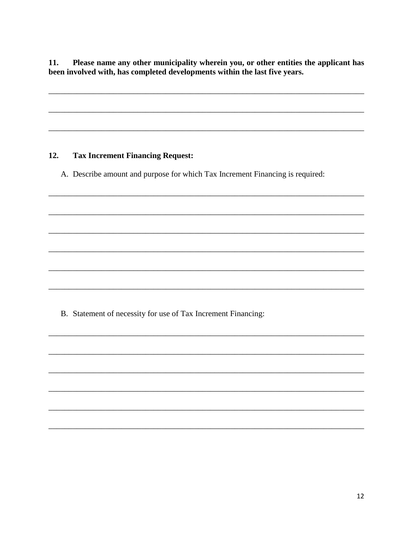Please name any other municipality wherein you, or other entities the applicant has 11. been involved with, has completed developments within the last five years.

#### 12. **Tax Increment Financing Request:**

A. Describe amount and purpose for which Tax Increment Financing is required:

B. Statement of necessity for use of Tax Increment Financing: